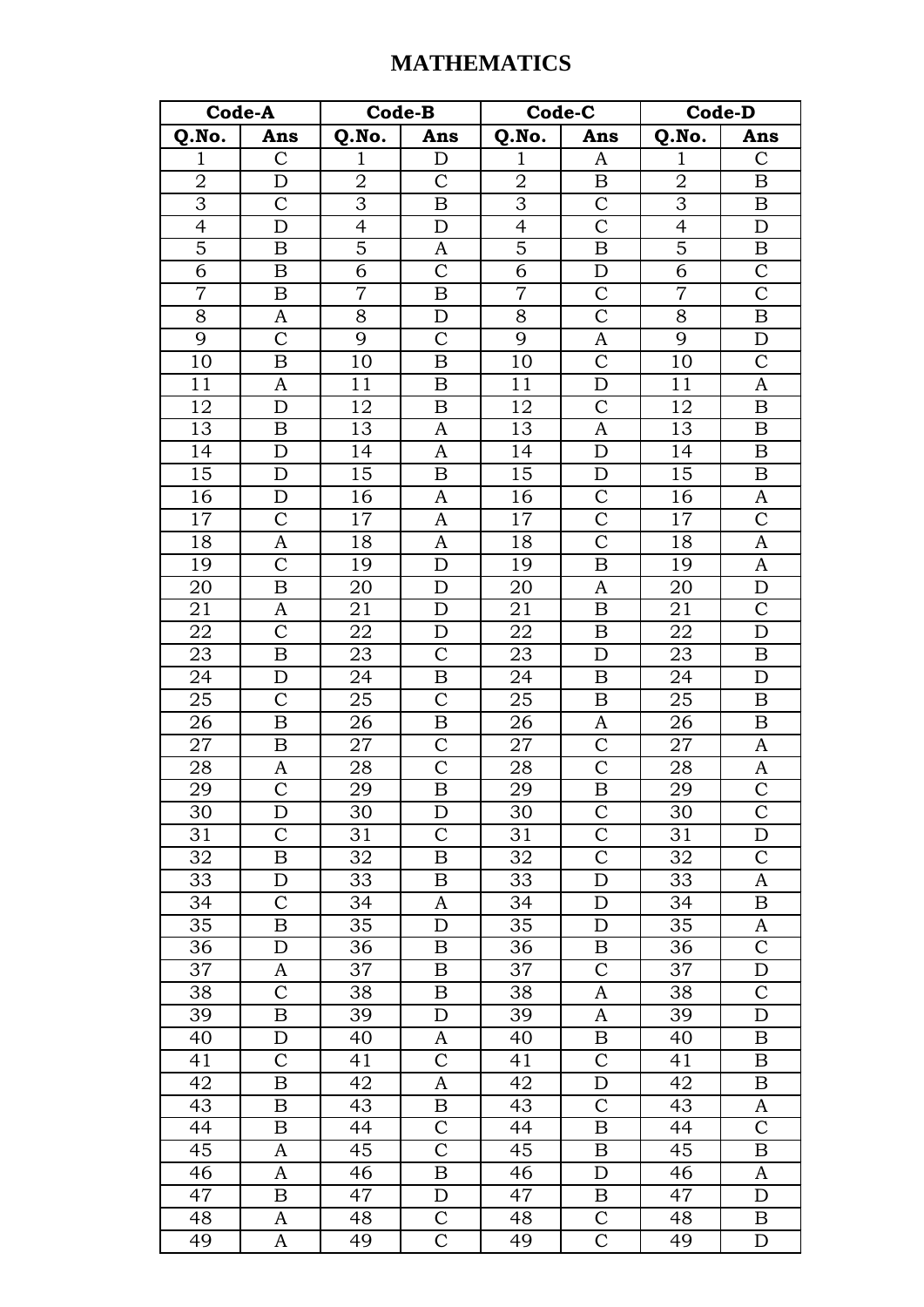## **MATHEMATICS**

| Code-A          |                       | Code-B          |                         | Code-C          |                         | Code-D          |                  |
|-----------------|-----------------------|-----------------|-------------------------|-----------------|-------------------------|-----------------|------------------|
| Q.No.           | Ans                   | Q.No.           | Ans                     | Q.No.           | Ans                     | Q.No.           | Ans              |
| $\mathbf 1$     | $\mathcal{C}$         | $\mathbf 1$     | D                       | $\mathbf{1}$    | A                       | 1               | $\mathcal{C}$    |
| $\mathbf 2$     | D                     | $\sqrt{2}$      | $\mathsf{C}$            | $\overline{2}$  | B                       | $\overline{2}$  | $\boldsymbol{B}$ |
| $\overline{3}$  | $\overline{C}$        | $\overline{3}$  | B                       | $\overline{3}$  | $\overline{\mathrm{C}}$ | $\overline{3}$  | $\boldsymbol{B}$ |
| $\overline{4}$  | D                     | $\overline{4}$  | $\mathbf D$             | $\overline{4}$  | $\overline{C}$          | $\overline{4}$  | $\mathbf D$      |
| $\overline{5}$  | $\, {\bf B}$          | $\overline{5}$  | A                       | $\overline{5}$  | $\overline{B}$          | $\overline{5}$  | $\, {\bf B}$     |
| $\overline{6}$  | B                     | $\overline{6}$  | $\overline{C}$          | $\overline{6}$  | D                       | $\overline{6}$  | $\overline{C}$   |
| $\overline{7}$  | $\boldsymbol{B}$      | $\overline{7}$  | $\boldsymbol{B}$        | $\overline{7}$  | $\mathcal{C}$           | $\overline{7}$  | $\overline{C}$   |
| $\overline{8}$  | A                     | 8               | D                       | $\overline{8}$  | $\overline{\text{C}}$   | $8\,$           | $\, {\bf B}$     |
| 9               | $\mathcal{C}$         | 9               | $\mathsf{C}$            | 9               | A                       | 9               | $\mathbf D$      |
| 10              | $\boldsymbol{B}$      | 10              | B                       | 10              | $\overline{C}$          | $\overline{1}0$ | $\overline{C}$   |
| 11              | $\mathbf{A}$          | 11              | $\boldsymbol{B}$        | 11              | $\mathbf D$             | $\overline{1}1$ | A                |
| 12              | D                     | 12              | $\, {\bf B}$            | 12              | $\overline{C}$          | $\overline{1}2$ | $\overline{B}$   |
| 13              | B                     | 13              | A                       | 13              | $\boldsymbol{A}$        | $\overline{1}3$ | $\boldsymbol{B}$ |
| 14              | D                     | 14              | A                       | 14              | $\mathbf D$             | 14              | $\boldsymbol{B}$ |
| $\overline{15}$ | D                     | 15              | $\boldsymbol{B}$        | 15              | D                       | 15              | $\boldsymbol{B}$ |
| 16              | D                     | 16              | A                       | 16              | $\mathcal{C}$           | 16              | A                |
| 17              | $\overline{C}$        | 17              | $\boldsymbol{A}$        | $\overline{1}7$ | $\overline{C}$          | 17              | $\overline{C}$   |
| 18              | A                     | 18              | $\boldsymbol{A}$        | 18              | $\overline{\text{C}}$   | 18              | A                |
| 19              | $\mathcal{C}$         | 19              | $\mathbf D$             | 19              | $\boldsymbol{B}$        | 19              | $\boldsymbol{A}$ |
| 20              | $\boldsymbol{B}$      | 20              | D                       | 20              | A                       | 20              | $\mathbf D$      |
| 21              | A                     | 21              | $\mathbf D$             | 21              | $\boldsymbol{B}$        | 21              | $\mathcal{C}$    |
| $\overline{22}$ | $\overline{C}$        | $\overline{22}$ | D                       | $\overline{22}$ | $\boldsymbol{B}$        | $\overline{22}$ | $\mathbf D$      |
| 23              | B                     | 23              | $\mathcal{C}$           | 23              | $\mathbf D$             | 23              | B                |
| 24              | $\mathbf D$           | 24              | $\boldsymbol{B}$        | 24              | $\boldsymbol{B}$        | 24              | $\mathbf D$      |
| 25              | $\mathcal{C}$         | $\overline{25}$ | $\overline{\text{C}}$   | 25              | B                       | 25              | $\boldsymbol{B}$ |
| $\overline{26}$ | $\boldsymbol{B}$      | $\overline{26}$ | $\, {\bf B}$            | 26              | A                       | 26              | $\, {\bf B}$     |
| 27              | $\, {\bf B}$          | 27              | $\overline{C}$          | $\sqrt{27}$     | $\mathsf{C}$            | $27\,$          | $\boldsymbol{A}$ |
| 28              | A                     | 28              | $\mathcal{C}$           | 28              | $\mathsf{C}$            | 28              |                  |
| 29              | $\overline{\text{C}}$ | 29              | $\overline{\mathbf{B}}$ | $\overline{29}$ | $\overline{B}$          | 29              | $rac{A}{C}$      |
| 30              | D                     | 30              | D                       | 30              | $\mathsf{C}$            | 30              | $\mathcal{C}$    |
| 31              | $\mathcal{C}$         | 31              | $\mathsf{C}$            | 31              | $\overline{C}$          | 31              | $\mathbf D$      |
| 32              | B                     | 32              | B                       | 32              | $\overline{\rm C}$      | 32              | $\mathsf C$      |
| 33              | D                     | 33              | B                       | 33              | $\mathbf D$             | 33              | A                |
| 34              | $\mathcal{C}$         | 34              | A                       | 34              | D                       | 34              | B                |
| 35              | B                     | 35              | D                       | 35              | D                       | 35              | A                |
| 36              | D                     | 36              | B                       | 36              | B                       | 36              | $\mathcal{C}$    |
| 37              | A                     | 37              | B                       | 37              | $\mathcal{C}$           | 37              | D                |
| 38              | $\overline{C}$        | 38              | B                       | 38              | A                       | 38              | $\mathcal{C}$    |
| 39              | $\boldsymbol{B}$      | 39              | D                       | 39              | A                       | 39              | $\mathbf D$      |
| 40              | D                     | 40              | A                       | 40              | B                       | 40              | B                |
| 41              | $\mathcal{C}$         | 41              | $\overline{C}$          | 41              | $\mathcal{C}$           | 41              | B                |
| 42              | B                     | 42              | A                       | 42              | $\mathbf D$             | 42              | B                |
| 43              | $\mathbf B$           | 43              | $\boldsymbol{B}$        | 43              | $\mathcal{C}$           | 43              | $\mathbf{A}$     |
| 44              | B                     | 44              | $\mathcal{C}$           | 44              | B                       | 44              | $\mathcal{C}$    |
| 45              | A                     | 45              | $\overline{\text{C}}$   | 45              | $\boldsymbol{B}$        | 45              | $\boldsymbol{B}$ |
| 46              | A                     | 46              | $\boldsymbol{B}$        | 46              | D                       | 46              | A                |
| 47              | B                     | 47              | D                       | 47              | B                       | 47              | D                |
| 48              | A                     | 48              | $\overline{\text{C}}$   | 48              | $\overline{C}$          | 48              | B                |
| 49              | A                     | 49              | $\mathcal{C}$           | 49              | $\mathsf{C}$            | 49              | D                |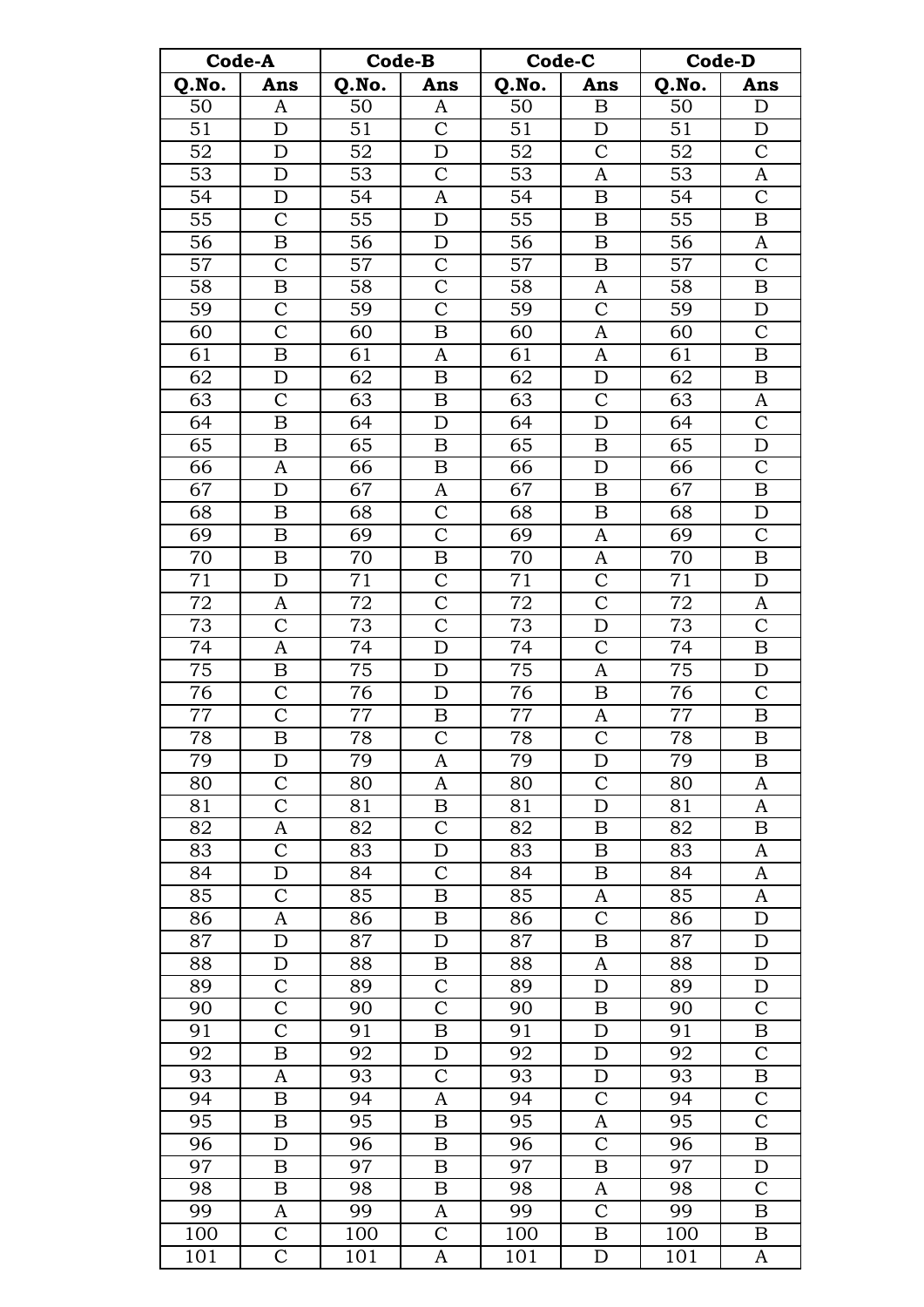| Code-A          |                         | Code-B          |                         | Code-C          |                           | <b>Code-D</b>   |                    |
|-----------------|-------------------------|-----------------|-------------------------|-----------------|---------------------------|-----------------|--------------------|
| Q.No.           | Ans                     | Q.No.           | Ans                     | Q.No.           | Ans                       | Q.No.           | Ans                |
| 50              | A                       | 50              | A                       | $\overline{50}$ | B                         | $\overline{50}$ | D                  |
| $\overline{51}$ | $\mathbf D$             | 51              | $\mathcal{C}$           | $\overline{51}$ | D                         | 51              | D                  |
| 52              | $\mathbf D$             | 52              | D                       | 52              | $\mathcal{C}$             | 52              | $\mathsf C$        |
| 53              | D                       | 53              | $\mathsf{C}$            | 53              | A                         | 53              | $\boldsymbol{A}$   |
| 54              | $\mathbf D$             | 54              | A                       | 54              | $\boldsymbol{B}$          | 54              | $\mathcal{C}$      |
| $\overline{55}$ | $\overline{C}$          | $\overline{55}$ | $\mathbf D$             | $\overline{55}$ | B                         | $\overline{55}$ | $\boldsymbol{B}$   |
| 56              | $\boldsymbol{B}$        | 56              | $\mathbf D$             | 56              | B                         | 56              | $\boldsymbol{A}$   |
| 57              | $\overline{\text{C}}$   | $\overline{57}$ | $\overline{\rm C}$      | $\overline{57}$ | $\boldsymbol{B}$          | $\overline{57}$ | $\overline{C}$     |
| 58              | $\boldsymbol{B}$        | 58              | $\overline{\text{C}}$   | 58              | A                         | 58              | $\boldsymbol{B}$   |
| $\overline{59}$ | $\overline{\text{C}}$   | $\overline{59}$ | $\overline{\mathsf{C}}$ | $\overline{59}$ | $\overline{\mathsf{C}}$   | 59              | $\overline{D}$     |
| 60              | $\overline{\text{C}}$   | 60              | $\boldsymbol{B}$        | 60              | A                         | 60              | $\overline{C}$     |
| 61              | $\boldsymbol{B}$        | 61              | A                       | 61              | A                         | 61              | $\boldsymbol{B}$   |
| 62              | $\mathbf D$             | 62              | $\boldsymbol{B}$        | $\overline{62}$ | D                         | 62              | $\boldsymbol{B}$   |
| 63              | $\mathcal{C}$           | 63              | $\boldsymbol{B}$        | 63              | $\mathcal{C}$             | 63              |                    |
|                 |                         |                 |                         |                 | D                         |                 | $\boldsymbol{A}$   |
| 64              | $\boldsymbol{B}$        | 64              | $\mathbf D$             | 64              |                           | 64              | $\overline{C}$     |
| 65              | $\boldsymbol{B}$        | 65              | $\boldsymbol{B}$        | 65              | $\boldsymbol{\mathrm{B}}$ | 65              | D                  |
| 66              | $\mathbf{A}$            | 66              | B                       | 66              | $\mathbf D$               | 66              | $\mathbf C$        |
| 67              | $\mathbf D$             | 67              | A                       | 67              | B                         | 67              | $\overline{B}$     |
| 68              | B                       | 68              | $\mathcal{C}$           | 68              | B                         | 68              | $\mathbf D$        |
| 69              | $\bf{B}$                | $\overline{69}$ | $\overline{\text{C}}$   | 69              | $\boldsymbol{A}$          | 69              | $\overline{C}$     |
| 70              | $\boldsymbol{B}$        | 70              | $\boldsymbol{B}$        | 70              | A                         | 70              | $\overline{B}$     |
| $\overline{71}$ | $\mathbf D$             | 71              | $\overline{\text{C}}$   | $\overline{71}$ | $\overline{\text{C}}$     | $\overline{71}$ | $\mathbf D$        |
| 72              | A                       | 72              | $\overline{\mathrm{C}}$ | 72              | $\overline{C}$            | 72              | A                  |
| $\overline{73}$ | $\mathcal{C}$           | 73              | $\overline{\rm C}$      | 73              | $\mathbf D$               | 73              | $\mathbf C$        |
| $\overline{74}$ | A                       | 74              | D                       | $\overline{74}$ | $\overline{\mathrm{C}}$   | $\overline{74}$ | $\, {\bf B}$       |
| 75              | $\boldsymbol{B}$        | 75              | $\mathbf D$             | 75              | A                         | 75              | $\mathbf D$        |
| 76              | $\overline{\text{C}}$   | 76              | $\mathbf D$             | $\overline{7}6$ | $\overline{B}$            | 76              | $\overline{C}$     |
| 77              | $\overline{\text{C}}$   | 77              | B                       | 77              | A                         | 77              | $\boldsymbol{B}$   |
| 78              | $\overline{\mathbf{B}}$ | 78              | $\overline{\mathsf{C}}$ | 78              | $\overline{C}$            | 78              | $\overline{B}$     |
| 79              | D                       | 79              | A                       | 79              | D                         | 79              | B                  |
| 80              | $\mathsf{C}$            | 80              | A                       | 80              | $\mathcal{C}$             | 80              | A                  |
| 81              | $\overline{\rm C}$      | 81              | B                       | 81              | D                         | 81              | A                  |
| 82              | A                       | 82              | $\mathcal{C}$           | 82              | B                         | 82              | B                  |
| 83              | $\mathcal{C}$           | 83              | D                       | 83              | B                         | 83              | $\boldsymbol{A}$   |
| 84              | D                       | 84              | $\mathcal{C}$           | 84              | B                         | 84              | $\boldsymbol{A}$   |
| 85              | $\overline{C}$          | 85              | B                       | 85              | A                         | 85              | A                  |
| 86              | A                       | 86              | B                       | 86              | $\overline{C}$            | 86              | D                  |
| 87              | D                       | 87              | D                       | 87              | B                         | 87              | D                  |
| 88              | $\mathbf D$             | 88              | B                       | 88              | A                         | 88              | $\mathbf D$        |
| 89              | $\mathcal{C}$           | 89              | $\mathcal{C}$           | 89              | $\mathbf D$               | 89              | $\mathbf D$        |
| 90              | $\overline{\text{C}}$   | 90              | $\overline{\text{C}}$   | 90              | $\boldsymbol{B}$          | 90              | $\mathcal{C}$      |
| 91              | $\overline{\rm C}$      | 91              | B                       | 91              | D                         | 91              | B                  |
| 92              | $\boldsymbol{B}$        | 92              | D                       | 92              | D                         | 92              | $\mathbf C$        |
| 93              | A                       | 93              | $\mathsf C$             | 93              | D                         | 93              | B                  |
| 94              | B                       | 94              | A                       | $\overline{94}$ | $\overline{C}$            | 94              | $\overline{C}$     |
| 95              | $\boldsymbol{B}$        | 95              | B                       | 95              | A                         | 95              | $\overline{\rm C}$ |
| 96              | D                       | 96              | B                       | 96              | $\mathcal{C}$             | 96              | $\boldsymbol{B}$   |
| $\overline{97}$ | $\boldsymbol{B}$        | 97              | B                       | 97              | $\boldsymbol{B}$          | 97              | $\mathbf D$        |
| 98              | B                       | 98              | B                       | 98              | A                         | 98              | $\mathcal{C}$      |
| 99              | A                       | 99              | A                       | 99              | $\mathsf{C}$              | 99              | B                  |
| 100             | $\mathbf C$             | 100             | $\overline{C}$          | 100             | B                         | 100             | B                  |
| 101             | $\mathbf C$             | 101             | A                       | 101             | D                         | 101             | A                  |